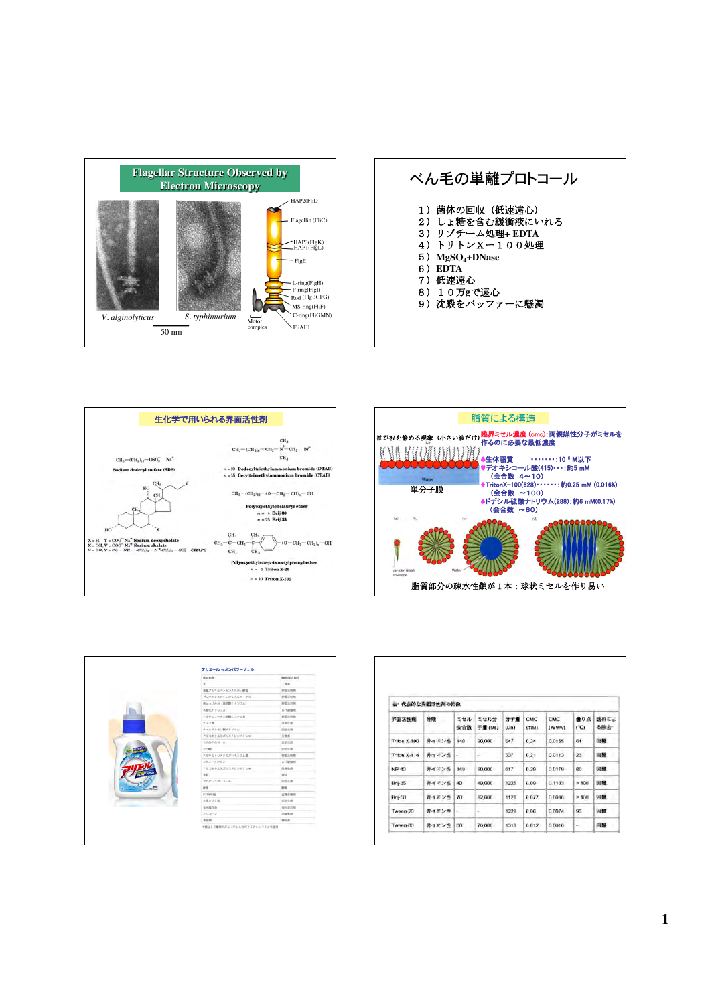

| ベん毛の単離プロトコール                                                                                                                                     |  |
|--------------------------------------------------------------------------------------------------------------------------------------------------|--|
| 1)菌体の回収(低速遠心)<br>2) しょ糖を含む緩衝液にいれる<br>3) リゾチーム処理+ EDTA<br>4)トリトンXー100処理<br>5) $MgSO4+DNase$<br>6) EDTA<br>7) 低速遠心<br>8) 10万gで遠心<br>9) 沈殿をバッファーに懸濁 |  |





|                | 适分系称              | 微距离合自的                 |
|----------------|-------------------|------------------------|
|                | ×                 | 工程制                    |
|                | 書類アルキルペンがソスルボン製造  | <b><i>BUSINESS</i></b> |
|                | ポリオキシエチレンアルキルエーチル | 育園高布朗                  |
|                | 時せっけんか (南京数ナトリウム) | 视图活性颜                  |
|                | 水酸化チトリウム          | ○十調整剂                  |
|                | アルキルエーテル初期エステル数   | 夜面活性部                  |
|                | クエン数              | 水取火用                   |
|                | ウメンスルホン酸テトリウム     | 安定化期                   |
|                | アルコキシルかざいエチレンドミンチ | GRENT                  |
|                | エリルアルコール          | <b>SYSTEM</b>          |
|                | あつ野               | 安定化物                   |
|                | アルキルトリメチルアンモニウム素  | 育園活性群                  |
|                | エリノールアミン          | 01/38年46               |
|                | アルコキシル化ポリニチレシテミンド | 先锋功能                   |
|                | <b>BEC</b>        | 0.11                   |
|                | プロピレングリコール        | 支定化用                   |
| <b>SHIPPER</b> | as a:             | At IL                  |
|                | <b>DTNFB</b>      | 安氣計開朗                  |
|                | 水添ヒマシ面            | STOR                   |
|                | 世光集白期             | 全た豊口市                  |
|                | シリコーン             | 功能整面                   |
|                | 素色剤               | <b>BRS</b>             |

| 界面活性剂         | 表1代表的な界面活性剤の特徴<br>分類 | ミセル | ミセル分   | 分子篇  | CMC       | <b>CMC</b> | 最り点           | 透析によ  |
|---------------|----------------------|-----|--------|------|-----------|------------|---------------|-------|
|               |                      | 会合数 | 子量(Da) | (Da) | (ranh(1)) | $(96$ W/V) | $(^{\circ}C)$ | る酸去   |
| Tritori X-100 | 非イオン性                | 140 | 90,000 | 647  | 0.24      | 0.0155     | 64            | 田駅    |
| Triton X-114  | 非イオン性                | ÷.  | ÷      | 537  | 0.21      | 0.0113     | 23            | 田屋    |
| $NP-40$       | 非イオン性                | 149 | 90,000 | 617  | 0.29      | 0.0179     | 60            | (4) 集 |
| $Bn-35$       | 苦イオン性                | 40  | 49,000 | 1225 | 0.09      | 0.1103     | > 100         | 团组    |
| <b>Bn</b> -58 | 非イオン性                | 70  | 82,000 | 1120 | 0.077     | 0.0086     | >100          | 闭触    |
| Tween-20      | 非イオン性                | ÷.  | ÷      | 1228 | 0.06      | 0.0074     | 95            | 国語    |
| Tween-80      | 非イオン性                | 60  | 76,000 | 1310 | 0.012     | 0.0016     | $\sim$        | 田隆    |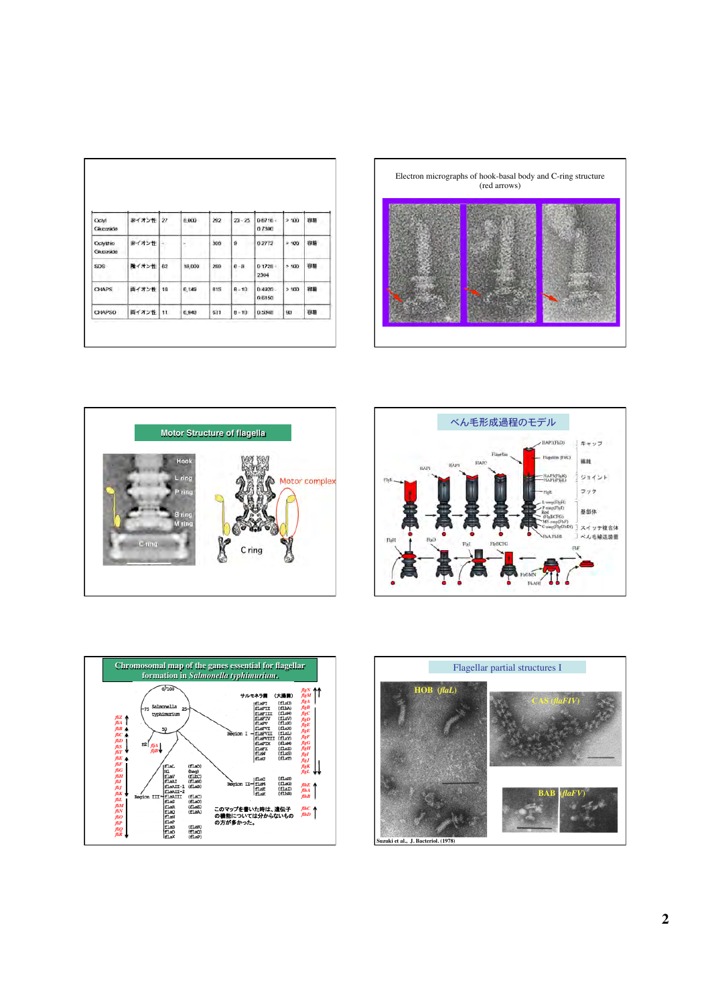| Octyl<br>Glucaside     | 非イオン性 | $\overline{27}$ | 8,000       | 292 | $23 - 25$         | $0.6716 -$<br>07300  | >100 | 容易                                                                                                     |  |
|------------------------|-------|-----------------|-------------|-----|-------------------|----------------------|------|--------------------------------------------------------------------------------------------------------|--|
| Octylthio<br>Glucoside | 非イオン性 |                 | ń<br>÷<br>۰ | 308 | 9                 | 0.2772               | >100 | 容易<br>×                                                                                                |  |
| SDS:                   | 賭イオン性 | 62              | 15,000      | 288 | $6 - B$<br>v<br>٠ | 0.1728:<br>2304      | >100 | 容易                                                                                                     |  |
| <b>CHAPS</b>           | 両イオン性 | 10              | 6,149       | 615 | $B - 10$          | $0.4920 -$<br>0.6150 | >100 | 容易<br>$\label{eq:1} \begin{array}{ll} \mathcal{L}_{\text{max}} & \mathcal{L}_{\text{max}} \end{array}$ |  |
| <b>CHAPSO</b>          | 両イオン性 | 11.             | 6,940       | 631 | $8 - 10$          | 0.5048               | 90   | 容易                                                                                                     |  |









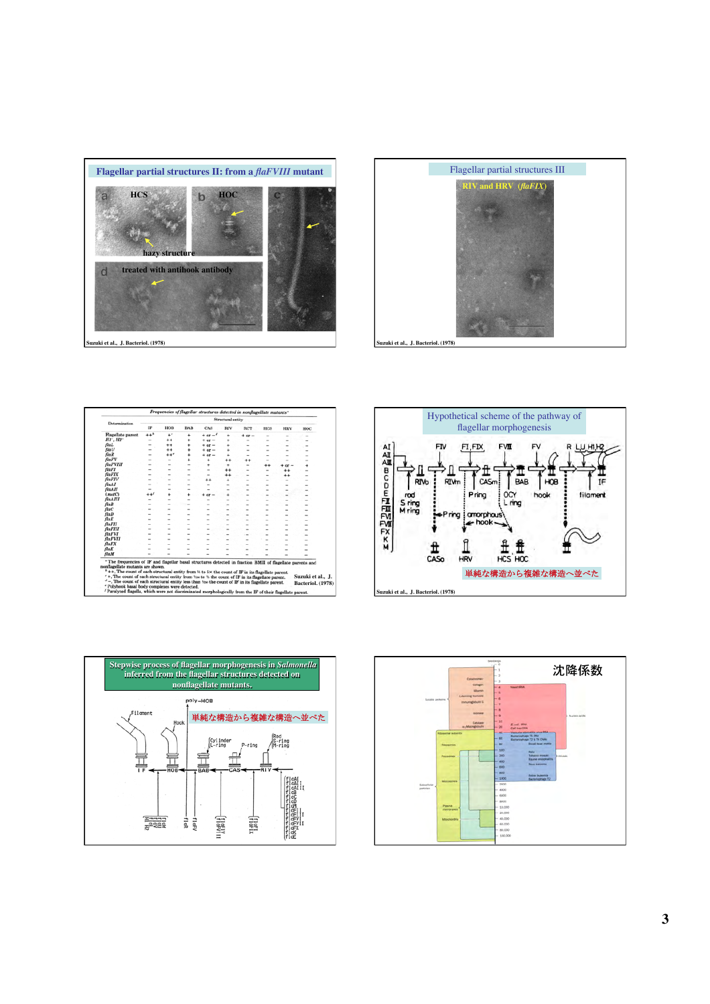